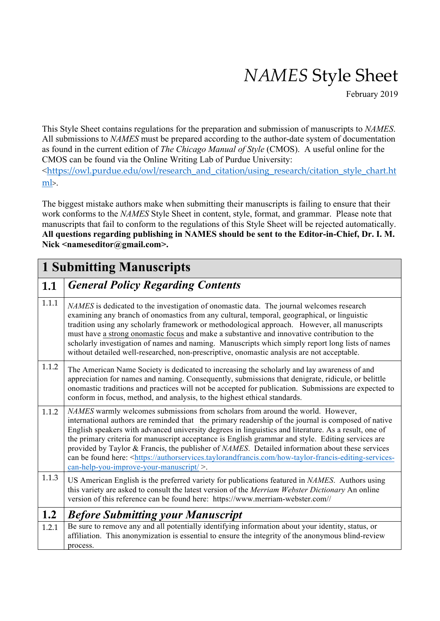# *NAMES* Style Sheet

February 2019

This Style Sheet contains regulations for the preparation and submission of manuscripts to *NAMES*. All submissions to *NAMES* must be prepared according to the author-date system of documentation as found in the current edition of *The Chicago Manual of Style* (CMOS). A useful online for the CMOS can be found via the Online Writing Lab of Purdue University:

<https://owl.purdue.edu/owl/research\_and\_citation/using\_research/citation\_style\_chart.ht ml>.

The biggest mistake authors make when submitting their manuscripts is failing to ensure that their work conforms to the *NAMES* Style Sheet in content, style, format, and grammar. Please note that manuscripts that fail to conform to the regulations of this Style Sheet will be rejected automatically. **All questions regarding publishing in NAMES should be sent to the Editor-in-Chief, Dr. I. M. Nick <nameseditor@gmail.com>.**

### **1 Submitting Manuscripts**

### **1.1** *General Policy Regarding Contents*

1.1.1 *NAMES* is dedicated to the investigation of onomastic data. The journal welcomes research examining any branch of onomastics from any cultural, temporal, geographical, or linguistic tradition using any scholarly framework or methodological approach. However, all manuscripts must have a strong onomastic focus and make a substantive and innovative contribution to the scholarly investigation of names and naming. Manuscripts which simply report long lists of names without detailed well-researched, non-prescriptive, onomastic analysis are not acceptable. 1.1.2 The American Name Society is dedicated to increasing the scholarly and lay awareness of and appreciation for names and naming. Consequently, submissions that denigrate, ridicule, or belittle onomastic traditions and practices will not be accepted for publication. Submissions are expected to conform in focus, method, and analysis, to the highest ethical standards. 1.1.2 *NAMES* warmly welcomes submissions from scholars from around the world. However, international authors are reminded that the primary readership of the journal is composed of native English speakers with advanced university degrees in linguistics and literature. As a result, one of the primary criteria for manuscript acceptance is English grammar and style. Editing services are provided by Taylor & Francis, the publisher of *NAMES*. Detailed information about these services can be found here: <https://authorservices.taylorandfrancis.com/how-taylor-francis-editing-servicescan-help-you-improve-your-manuscript/ >. 1.1.3 US American English is the preferred variety for publications featured in *NAMES*. Authors using this variety are asked to consult the latest version of the *Merriam Webster Dictionary* An online version of this reference can be found here: https://www.merriam-webster.com// **1.2** *Before Submitting your Manuscript* 1.2.1 Be sure to remove any and all potentially identifying information about your identity, status, or affiliation. This anonymization is essential to ensure the integrity of the anonymous blind-review process.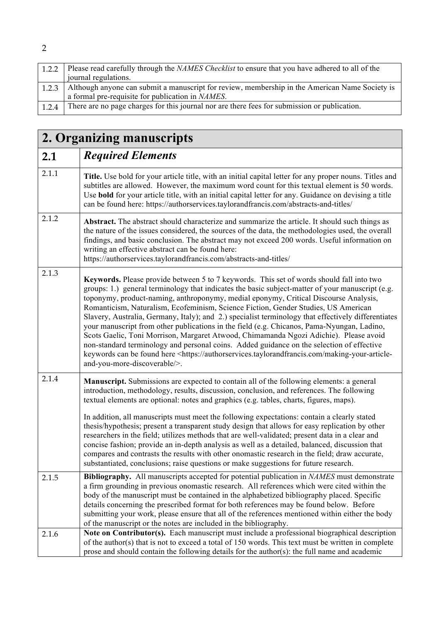| 1.2.2 | Please read carefully through the <i>NAMES Checklist</i> to ensure that you have adhered to all of the |
|-------|--------------------------------------------------------------------------------------------------------|
|       | journal regulations.                                                                                   |
| 1.2.3 | Although anyone can submit a manuscript for review, membership in the American Name Society is         |
|       | a formal pre-requisite for publication in NAMES.                                                       |
| 1.2.4 | There are no page charges for this journal nor are there fees for submission or publication.           |

## **2. Organizing manuscripts**

| o     |                                                                                                                                                                                                                                                                                                                                                                                                                                                                                                                                                                                                                                                                                                                                                                                                                                                                                                                        |
|-------|------------------------------------------------------------------------------------------------------------------------------------------------------------------------------------------------------------------------------------------------------------------------------------------------------------------------------------------------------------------------------------------------------------------------------------------------------------------------------------------------------------------------------------------------------------------------------------------------------------------------------------------------------------------------------------------------------------------------------------------------------------------------------------------------------------------------------------------------------------------------------------------------------------------------|
| 2.1   | <b>Required Elements</b>                                                                                                                                                                                                                                                                                                                                                                                                                                                                                                                                                                                                                                                                                                                                                                                                                                                                                               |
| 2.1.1 | Title. Use bold for your article title, with an initial capital letter for any proper nouns. Titles and<br>subtitles are allowed. However, the maximum word count for this textual element is 50 words.<br>Use bold for your article title, with an initial capital letter for any. Guidance on devising a title<br>can be found here: https://authorservices.taylorandfrancis.com/abstracts-and-titles/                                                                                                                                                                                                                                                                                                                                                                                                                                                                                                               |
| 2.1.2 | Abstract. The abstract should characterize and summarize the article. It should such things as<br>the nature of the issues considered, the sources of the data, the methodologies used, the overall<br>findings, and basic conclusion. The abstract may not exceed 200 words. Useful information on<br>writing an effective abstract can be found here:<br>https://authorservices.taylorandfrancis.com/abstracts-and-titles/                                                                                                                                                                                                                                                                                                                                                                                                                                                                                           |
| 2.1.3 | Keywords. Please provide between 5 to 7 keywords. This set of words should fall into two<br>groups: 1.) general terminology that indicates the basic subject-matter of your manuscript (e.g.<br>toponymy, product-naming, anthroponymy, medial eponymy, Critical Discourse Analysis,<br>Romanticism, Naturalism, Ecofeminism, Science Fiction, Gender Studies, US American<br>Slavery, Australia, Germany, Italy); and 2.) specialist terminology that effectively differentiates<br>your manuscript from other publications in the field (e.g. Chicanos, Pama-Nyungan, Ladino,<br>Scots Gaelic, Toni Morrison, Margaret Atwood, Chimamanda Ngozi Adichie). Please avoid<br>non-standard terminology and personal coins. Added guidance on the selection of effective<br>keywords can be found here <https: authorservices.taylorandfrancis.com="" making-your-article-<br="">and-you-more-discoverable/&gt;.</https:> |
| 2.1.4 | <b>Manuscript.</b> Submissions are expected to contain all of the following elements: a general<br>introduction, methodology, results, discussion, conclusion, and references. The following<br>textual elements are optional: notes and graphics (e.g. tables, charts, figures, maps).<br>In addition, all manuscripts must meet the following expectations: contain a clearly stated<br>thesis/hypothesis; present a transparent study design that allows for easy replication by other<br>researchers in the field; utilizes methods that are well-validated; present data in a clear and<br>concise fashion; provide an in-depth analysis as well as a detailed, balanced, discussion that<br>compares and contrasts the results with other onomastic research in the field; draw accurate,<br>substantiated, conclusions; raise questions or make suggestions for future research.                                |
| 2.1.5 | <b>Bibliography.</b> All manuscripts accepted for potential publication in <i>NAMES</i> must demonstrate<br>a firm grounding in previous onomastic research. All references which were cited within the<br>body of the manuscript must be contained in the alphabetized bibliography placed. Specific<br>details concerning the prescribed format for both references may be found below. Before<br>submitting your work, please ensure that all of the references mentioned within either the body<br>of the manuscript or the notes are included in the bibliography.                                                                                                                                                                                                                                                                                                                                                |
| 2.1.6 | Note on Contributor(s). Each manuscript must include a professional biographical description<br>of the author(s) that is not to exceed a total of 150 words. This text must be written in complete<br>prose and should contain the following details for the author(s): the full name and academic                                                                                                                                                                                                                                                                                                                                                                                                                                                                                                                                                                                                                     |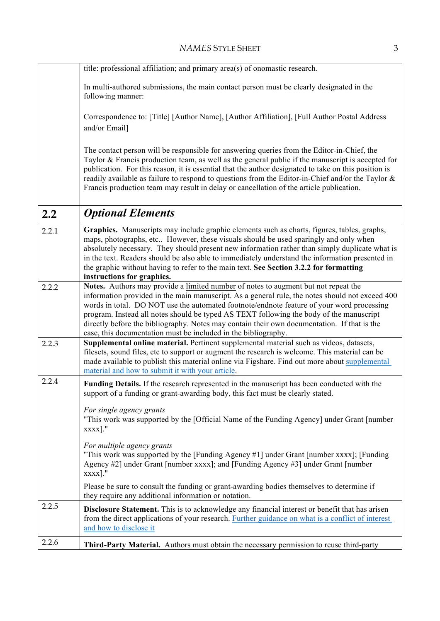|       | title: professional affiliation; and primary area(s) of onomastic research.                                                                                                                                                                                                                                                                                                                                                                                                                                                                    |
|-------|------------------------------------------------------------------------------------------------------------------------------------------------------------------------------------------------------------------------------------------------------------------------------------------------------------------------------------------------------------------------------------------------------------------------------------------------------------------------------------------------------------------------------------------------|
|       | In multi-authored submissions, the main contact person must be clearly designated in the<br>following manner:                                                                                                                                                                                                                                                                                                                                                                                                                                  |
|       | Correspondence to: [Title] [Author Name], [Author Affiliation], [Full Author Postal Address<br>and/or Email]                                                                                                                                                                                                                                                                                                                                                                                                                                   |
|       | The contact person will be responsible for answering queries from the Editor-in-Chief, the<br>Taylor & Francis production team, as well as the general public if the manuscript is accepted for<br>publication. For this reason, it is essential that the author designated to take on this position is<br>readily available as failure to respond to questions from the Editor-in-Chief and/or the Taylor &<br>Francis production team may result in delay or cancellation of the article publication.                                        |
| 2.2   | <b>Optional Elements</b>                                                                                                                                                                                                                                                                                                                                                                                                                                                                                                                       |
| 2.2.1 | Graphics. Manuscripts may include graphic elements such as charts, figures, tables, graphs,<br>maps, photographs, etc However, these visuals should be used sparingly and only when<br>absolutely necessary. They should present new information rather than simply duplicate what is<br>in the text. Readers should be also able to immediately understand the information presented in<br>the graphic without having to refer to the main text. See Section 3.2.2 for formatting<br>instructions for graphics.                               |
| 2.2.2 | Notes. Authors may provide a limited number of notes to augment but not repeat the<br>information provided in the main manuscript. As a general rule, the notes should not exceed 400<br>words in total. DO NOT use the automated footnote/endnote feature of your word processing<br>program. Instead all notes should be typed AS TEXT following the body of the manuscript<br>directly before the bibliography. Notes may contain their own documentation. If that is the<br>case, this documentation must be included in the bibliography. |
| 2.2.3 | Supplemental online material. Pertinent supplemental material such as videos, datasets,<br>filesets, sound files, etc to support or augment the research is welcome. This material can be<br>made available to publish this material online via Figshare. Find out more about supplemental<br>material and how to submit it with your article.                                                                                                                                                                                                 |
| 2.2.4 | <b>Funding Details.</b> If the research represented in the manuscript has been conducted with the<br>support of a funding or grant-awarding body, this fact must be clearly stated.                                                                                                                                                                                                                                                                                                                                                            |
|       | For single agency grants<br>"This work was supported by the [Official Name of the Funding Agency] under Grant [number<br>xxxx]."                                                                                                                                                                                                                                                                                                                                                                                                               |
|       | For multiple agency grants<br>"This work was supported by the [Funding Agency #1] under Grant [number xxxx]; [Funding<br>Agency #2] under Grant [number xxxx]; and [Funding Agency #3] under Grant [number<br>xxxx]."                                                                                                                                                                                                                                                                                                                          |
|       | Please be sure to consult the funding or grant-awarding bodies themselves to determine if<br>they require any additional information or notation.                                                                                                                                                                                                                                                                                                                                                                                              |
| 2.2.5 | <b>Disclosure Statement.</b> This is to acknowledge any financial interest or benefit that has arisen<br>from the direct applications of your research. Further guidance on what is a conflict of interest<br>and how to disclose it                                                                                                                                                                                                                                                                                                           |
| 2.2.6 | Third-Party Material. Authors must obtain the necessary permission to reuse third-party                                                                                                                                                                                                                                                                                                                                                                                                                                                        |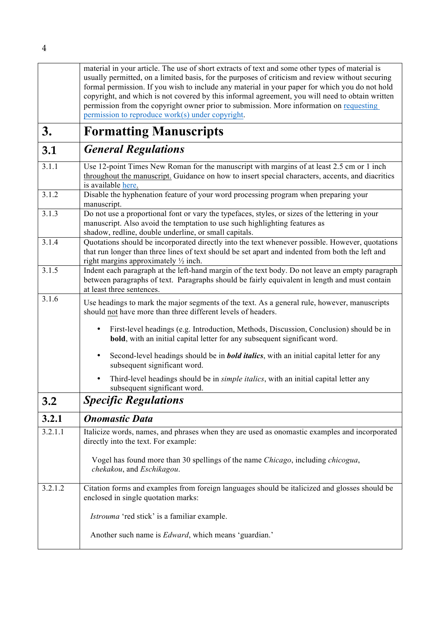|         | material in your article. The use of short extracts of text and some other types of material is<br>usually permitted, on a limited basis, for the purposes of criticism and review without securing<br>formal permission. If you wish to include any material in your paper for which you do not hold<br>copyright, and which is not covered by this informal agreement, you will need to obtain written<br>permission from the copyright owner prior to submission. More information on requesting<br>permission to reproduce work(s) under copyright. |
|---------|---------------------------------------------------------------------------------------------------------------------------------------------------------------------------------------------------------------------------------------------------------------------------------------------------------------------------------------------------------------------------------------------------------------------------------------------------------------------------------------------------------------------------------------------------------|
| 3.      | <b>Formatting Manuscripts</b>                                                                                                                                                                                                                                                                                                                                                                                                                                                                                                                           |
| 3.1     | <b>General Regulations</b>                                                                                                                                                                                                                                                                                                                                                                                                                                                                                                                              |
| 3.1.1   | Use 12-point Times New Roman for the manuscript with margins of at least 2.5 cm or 1 inch<br>throughout the manuscript. Guidance on how to insert special characters, accents, and diacritics<br>is available here.                                                                                                                                                                                                                                                                                                                                     |
| 3.1.2   | Disable the hyphenation feature of your word processing program when preparing your<br>manuscript.                                                                                                                                                                                                                                                                                                                                                                                                                                                      |
| 3.1.3   | Do not use a proportional font or vary the typefaces, styles, or sizes of the lettering in your<br>manuscript. Also avoid the temptation to use such highlighting features as<br>shadow, redline, double underline, or small capitals.                                                                                                                                                                                                                                                                                                                  |
| 3.1.4   | Quotations should be incorporated directly into the text whenever possible. However, quotations<br>that run longer than three lines of text should be set apart and indented from both the left and<br>right margins approximately $\frac{1}{2}$ inch.                                                                                                                                                                                                                                                                                                  |
| 3.1.5   | Indent each paragraph at the left-hand margin of the text body. Do not leave an empty paragraph<br>between paragraphs of text. Paragraphs should be fairly equivalent in length and must contain<br>at least three sentences.                                                                                                                                                                                                                                                                                                                           |
| 3.1.6   | Use headings to mark the major segments of the text. As a general rule, however, manuscripts<br>should not have more than three different levels of headers.                                                                                                                                                                                                                                                                                                                                                                                            |
|         | First-level headings (e.g. Introduction, Methods, Discussion, Conclusion) should be in<br>٠<br><b>bold</b> , with an initial capital letter for any subsequent significant word.                                                                                                                                                                                                                                                                                                                                                                        |
|         | Second-level headings should be in <b>bold italics</b> , with an initial capital letter for any<br>٠<br>subsequent significant word.                                                                                                                                                                                                                                                                                                                                                                                                                    |
|         | Third-level headings should be in <i>simple italics</i> , with an initial capital letter any<br>subsequent significant word.                                                                                                                                                                                                                                                                                                                                                                                                                            |
| 3.2     | <b>Specific Regulations</b>                                                                                                                                                                                                                                                                                                                                                                                                                                                                                                                             |
| 3.2.1   | <b>Onomastic Data</b>                                                                                                                                                                                                                                                                                                                                                                                                                                                                                                                                   |
| 3.2.1.1 | Italicize words, names, and phrases when they are used as onomastic examples and incorporated<br>directly into the text. For example:                                                                                                                                                                                                                                                                                                                                                                                                                   |
|         | Vogel has found more than 30 spellings of the name Chicago, including chicogua,<br>chekakou, and Eschikagou.                                                                                                                                                                                                                                                                                                                                                                                                                                            |
| 3.2.1.2 | Citation forms and examples from foreign languages should be italicized and glosses should be<br>enclosed in single quotation marks:                                                                                                                                                                                                                                                                                                                                                                                                                    |
|         | Istrouma 'red stick' is a familiar example.                                                                                                                                                                                                                                                                                                                                                                                                                                                                                                             |
|         | Another such name is <i>Edward</i> , which means 'guardian.'                                                                                                                                                                                                                                                                                                                                                                                                                                                                                            |

4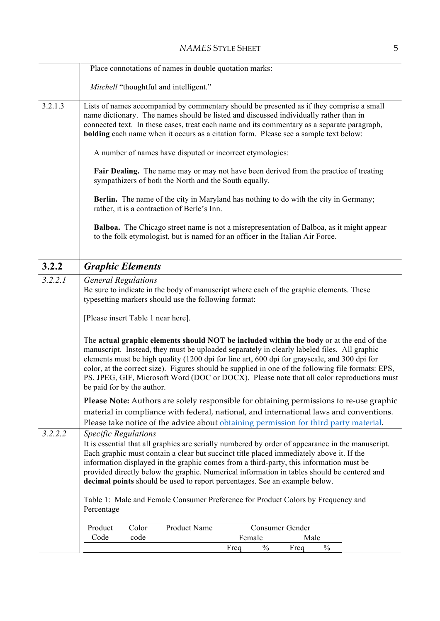|         | Place connotations of names in double quotation marks:                                                                                                                                                                                                                                                                                                                                                                                                                                                                   |  |  |  |  |  |
|---------|--------------------------------------------------------------------------------------------------------------------------------------------------------------------------------------------------------------------------------------------------------------------------------------------------------------------------------------------------------------------------------------------------------------------------------------------------------------------------------------------------------------------------|--|--|--|--|--|
|         | Mitchell "thoughtful and intelligent."                                                                                                                                                                                                                                                                                                                                                                                                                                                                                   |  |  |  |  |  |
| 3.2.1.3 | Lists of names accompanied by commentary should be presented as if they comprise a small<br>name dictionary. The names should be listed and discussed individually rather than in<br>connected text. In these cases, treat each name and its commentary as a separate paragraph,<br><b>bolding</b> each name when it occurs as a citation form. Please see a sample text below:                                                                                                                                          |  |  |  |  |  |
|         | A number of names have disputed or incorrect etymologies:                                                                                                                                                                                                                                                                                                                                                                                                                                                                |  |  |  |  |  |
|         | Fair Dealing. The name may or may not have been derived from the practice of treating<br>sympathizers of both the North and the South equally.                                                                                                                                                                                                                                                                                                                                                                           |  |  |  |  |  |
|         | <b>Berlin.</b> The name of the city in Maryland has nothing to do with the city in Germany;<br>rather, it is a contraction of Berle's Inn.                                                                                                                                                                                                                                                                                                                                                                               |  |  |  |  |  |
|         | <b>Balboa.</b> The Chicago street name is not a misrepresentation of Balboa, as it might appear<br>to the folk etymologist, but is named for an officer in the Italian Air Force.                                                                                                                                                                                                                                                                                                                                        |  |  |  |  |  |
| 3.2.2   | <b>Graphic Elements</b>                                                                                                                                                                                                                                                                                                                                                                                                                                                                                                  |  |  |  |  |  |
| 3.2.2.1 | <b>General Regulations</b>                                                                                                                                                                                                                                                                                                                                                                                                                                                                                               |  |  |  |  |  |
|         | Be sure to indicate in the body of manuscript where each of the graphic elements. These<br>typesetting markers should use the following format:                                                                                                                                                                                                                                                                                                                                                                          |  |  |  |  |  |
|         | [Please insert Table 1 near here].                                                                                                                                                                                                                                                                                                                                                                                                                                                                                       |  |  |  |  |  |
|         | The actual graphic elements should NOT be included within the body or at the end of the<br>manuscript. Instead, they must be uploaded separately in clearly labeled files. All graphic<br>elements must be high quality (1200 dpi for line art, 600 dpi for grayscale, and 300 dpi for<br>color, at the correct size). Figures should be supplied in one of the following file formats: EPS,<br>PS, JPEG, GIF, Microsoft Word (DOC or DOCX). Please note that all color reproductions must<br>be paid for by the author. |  |  |  |  |  |
|         | Please Note: Authors are solely responsible for obtaining permissions to re-use graphic                                                                                                                                                                                                                                                                                                                                                                                                                                  |  |  |  |  |  |
|         | material in compliance with federal, national, and international laws and conventions.                                                                                                                                                                                                                                                                                                                                                                                                                                   |  |  |  |  |  |
|         | Please take notice of the advice about obtaining permission for third party material.                                                                                                                                                                                                                                                                                                                                                                                                                                    |  |  |  |  |  |
| 3.2.2.2 | <b>Specific Regulations</b>                                                                                                                                                                                                                                                                                                                                                                                                                                                                                              |  |  |  |  |  |
|         | It is essential that all graphics are serially numbered by order of appearance in the manuscript.<br>Each graphic must contain a clear but succinct title placed immediately above it. If the<br>information displayed in the graphic comes from a third-party, this information must be<br>provided directly below the graphic. Numerical information in tables should be centered and<br>decimal points should be used to report percentages. See an example below.                                                    |  |  |  |  |  |
|         | Table 1: Male and Female Consumer Preference for Product Colors by Frequency and<br>Percentage                                                                                                                                                                                                                                                                                                                                                                                                                           |  |  |  |  |  |
|         | Product Name<br>Product<br>Color<br>Consumer Gender<br>Code<br>code<br>Female<br>Male                                                                                                                                                                                                                                                                                                                                                                                                                                    |  |  |  |  |  |
|         | $\frac{0}{0}$<br>$\frac{0}{0}$<br>Freq<br>Freq                                                                                                                                                                                                                                                                                                                                                                                                                                                                           |  |  |  |  |  |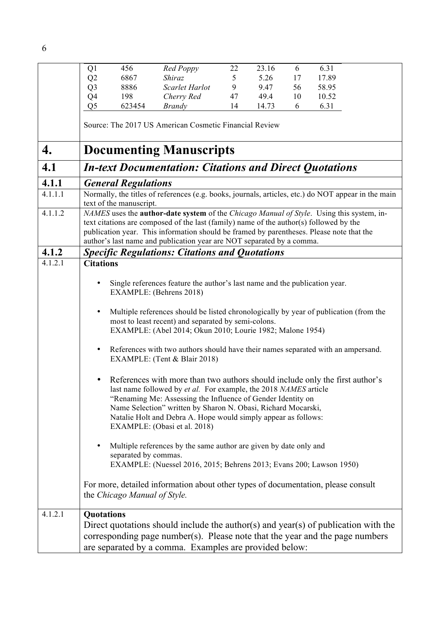|         | Q <sub>1</sub>                                                                                                                                                                                                                                                                                                                                                 | 456                          | Red Poppy                                                                                                                                                                                                                                                                                                                                                                                                                                                                                                                                                                                                                                                                                                                                                                                                                                                                                                                                                                | 22 | 23.16 | 6  | 6.31  |  |
|---------|----------------------------------------------------------------------------------------------------------------------------------------------------------------------------------------------------------------------------------------------------------------------------------------------------------------------------------------------------------------|------------------------------|--------------------------------------------------------------------------------------------------------------------------------------------------------------------------------------------------------------------------------------------------------------------------------------------------------------------------------------------------------------------------------------------------------------------------------------------------------------------------------------------------------------------------------------------------------------------------------------------------------------------------------------------------------------------------------------------------------------------------------------------------------------------------------------------------------------------------------------------------------------------------------------------------------------------------------------------------------------------------|----|-------|----|-------|--|
|         | Q2                                                                                                                                                                                                                                                                                                                                                             | 6867                         | Shiraz                                                                                                                                                                                                                                                                                                                                                                                                                                                                                                                                                                                                                                                                                                                                                                                                                                                                                                                                                                   | 5  | 5.26  | 17 | 17.89 |  |
|         | Q <sub>3</sub>                                                                                                                                                                                                                                                                                                                                                 | 8886                         | Scarlet Harlot                                                                                                                                                                                                                                                                                                                                                                                                                                                                                                                                                                                                                                                                                                                                                                                                                                                                                                                                                           | 9  | 9.47  | 56 | 58.95 |  |
|         | Q4                                                                                                                                                                                                                                                                                                                                                             | 198                          | Cherry Red                                                                                                                                                                                                                                                                                                                                                                                                                                                                                                                                                                                                                                                                                                                                                                                                                                                                                                                                                               | 47 | 49.4  | 10 | 10.52 |  |
|         | Q <sub>5</sub>                                                                                                                                                                                                                                                                                                                                                 | 623454                       | <b>Brandy</b>                                                                                                                                                                                                                                                                                                                                                                                                                                                                                                                                                                                                                                                                                                                                                                                                                                                                                                                                                            | 14 | 14.73 | 6  | 6.31  |  |
|         |                                                                                                                                                                                                                                                                                                                                                                |                              | Source: The 2017 US American Cosmetic Financial Review                                                                                                                                                                                                                                                                                                                                                                                                                                                                                                                                                                                                                                                                                                                                                                                                                                                                                                                   |    |       |    |       |  |
| 4.      | <b>Documenting Manuscripts</b>                                                                                                                                                                                                                                                                                                                                 |                              |                                                                                                                                                                                                                                                                                                                                                                                                                                                                                                                                                                                                                                                                                                                                                                                                                                                                                                                                                                          |    |       |    |       |  |
| 4.1     |                                                                                                                                                                                                                                                                                                                                                                |                              | <b>In-text Documentation: Citations and Direct Quotations</b>                                                                                                                                                                                                                                                                                                                                                                                                                                                                                                                                                                                                                                                                                                                                                                                                                                                                                                            |    |       |    |       |  |
| 4.1.1   |                                                                                                                                                                                                                                                                                                                                                                | <b>General Regulations</b>   |                                                                                                                                                                                                                                                                                                                                                                                                                                                                                                                                                                                                                                                                                                                                                                                                                                                                                                                                                                          |    |       |    |       |  |
| 4.1.1.1 |                                                                                                                                                                                                                                                                                                                                                                | text of the manuscript.      | Normally, the titles of references (e.g. books, journals, articles, etc.) do NOT appear in the main                                                                                                                                                                                                                                                                                                                                                                                                                                                                                                                                                                                                                                                                                                                                                                                                                                                                      |    |       |    |       |  |
| 4.1.1.2 | NAMES uses the <b>author-date system</b> of the Chicago Manual of Style. Using this system, in-<br>text citations are composed of the last (family) name of the author(s) followed by the<br>publication year. This information should be framed by parentheses. Please note that the<br>author's last name and publication year are NOT separated by a comma. |                              |                                                                                                                                                                                                                                                                                                                                                                                                                                                                                                                                                                                                                                                                                                                                                                                                                                                                                                                                                                          |    |       |    |       |  |
| 4.1.2   |                                                                                                                                                                                                                                                                                                                                                                |                              | <b>Specific Regulations: Citations and Quotations</b>                                                                                                                                                                                                                                                                                                                                                                                                                                                                                                                                                                                                                                                                                                                                                                                                                                                                                                                    |    |       |    |       |  |
| 4.1.2.1 | <b>Citations</b>                                                                                                                                                                                                                                                                                                                                               |                              |                                                                                                                                                                                                                                                                                                                                                                                                                                                                                                                                                                                                                                                                                                                                                                                                                                                                                                                                                                          |    |       |    |       |  |
|         | ٠<br>$\bullet$<br>$\bullet$<br>٠<br>٠                                                                                                                                                                                                                                                                                                                          | separated by commas.         | Single references feature the author's last name and the publication year.<br>EXAMPLE: (Behrens 2018)<br>Multiple references should be listed chronologically by year of publication (from the<br>most to least recent) and separated by semi-colons.<br>EXAMPLE: (Abel 2014; Okun 2010; Lourie 1982; Malone 1954)<br>References with two authors should have their names separated with an ampersand.<br>EXAMPLE: (Tent & Blair 2018)<br>References with more than two authors should include only the first author's<br>last name followed by et al. For example, the 2018 NAMES article<br>"Renaming Me: Assessing the Influence of Gender Identity on<br>Name Selection" written by Sharon N. Obasi, Richard Mocarski,<br>Natalie Holt and Debra A. Hope would simply appear as follows:<br>EXAMPLE: (Obasi et al. 2018)<br>Multiple references by the same author are given by date only and<br>EXAMPLE: (Nuessel 2016, 2015; Behrens 2013; Evans 200; Lawson 1950) |    |       |    |       |  |
|         |                                                                                                                                                                                                                                                                                                                                                                | the Chicago Manual of Style. | For more, detailed information about other types of documentation, please consult                                                                                                                                                                                                                                                                                                                                                                                                                                                                                                                                                                                                                                                                                                                                                                                                                                                                                        |    |       |    |       |  |
| 4.1.2.1 | Quotations                                                                                                                                                                                                                                                                                                                                                     |                              |                                                                                                                                                                                                                                                                                                                                                                                                                                                                                                                                                                                                                                                                                                                                                                                                                                                                                                                                                                          |    |       |    |       |  |
|         |                                                                                                                                                                                                                                                                                                                                                                |                              | Direct quotations should include the author(s) and year(s) of publication with the<br>corresponding page number(s). Please note that the year and the page numbers<br>are separated by a comma. Examples are provided below:                                                                                                                                                                                                                                                                                                                                                                                                                                                                                                                                                                                                                                                                                                                                             |    |       |    |       |  |

6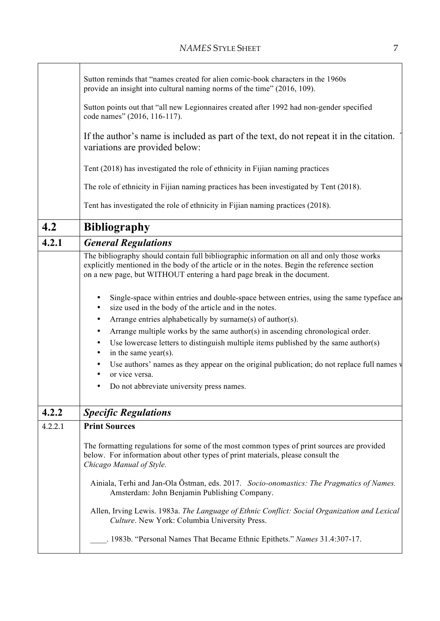|         | Sutton reminds that "names created for alien comic-book characters in the 1960s<br>provide an insight into cultural naming norms of the time" (2016, 109).                                                                                                           |
|---------|----------------------------------------------------------------------------------------------------------------------------------------------------------------------------------------------------------------------------------------------------------------------|
|         | Sutton points out that "all new Legionnaires created after 1992 had non-gender specified<br>code names" (2016, 116-117).                                                                                                                                             |
|         | If the author's name is included as part of the text, do not repeat it in the citation.<br>variations are provided below:                                                                                                                                            |
|         | Tent (2018) has investigated the role of ethnicity in Fijian naming practices                                                                                                                                                                                        |
|         | The role of ethnicity in Fijian naming practices has been investigated by Tent (2018).                                                                                                                                                                               |
|         | Tent has investigated the role of ethnicity in Fijian naming practices (2018).                                                                                                                                                                                       |
| 4.2     | <b>Bibliography</b>                                                                                                                                                                                                                                                  |
| 4.2.1   | <b>General Regulations</b>                                                                                                                                                                                                                                           |
|         | The bibliography should contain full bibliographic information on all and only those works<br>explicitly mentioned in the body of the article or in the notes. Begin the reference section<br>on a new page, but WITHOUT entering a hard page break in the document. |
|         | Single-space within entries and double-space between entries, using the same typeface and<br>$\bullet$<br>size used in the body of the article and in the notes.<br>٠                                                                                                |
|         | Arrange entries alphabetically by surname(s) of author(s).                                                                                                                                                                                                           |
|         | Arrange multiple works by the same author(s) in ascending chronological order.<br>$\bullet$                                                                                                                                                                          |
|         | Use lowercase letters to distinguish multiple items published by the same author(s)<br>٠<br>in the same year(s).<br>$\bullet$                                                                                                                                        |
|         | Use authors' names as they appear on the original publication; do not replace full names v<br>or vice versa.<br>٠                                                                                                                                                    |
|         | Do not abbreviate university press names.<br>٠                                                                                                                                                                                                                       |
| 4.2.2   | <b>Specific Regulations</b>                                                                                                                                                                                                                                          |
| 4.2.2.1 | <b>Print Sources</b>                                                                                                                                                                                                                                                 |
|         | The formatting regulations for some of the most common types of print sources are provided<br>below. For information about other types of print materials, please consult the<br>Chicago Manual of Style.                                                            |
|         | Ainiala, Terhi and Jan-Ola Östman, eds. 2017. Socio-onomastics: The Pragmatics of Names.<br>Amsterdam: John Benjamin Publishing Company.                                                                                                                             |
|         | Allen, Irving Lewis. 1983a. The Language of Ethnic Conflict: Social Organization and Lexical<br>Culture. New York: Columbia University Press.                                                                                                                        |
|         | . 1983b. "Personal Names That Became Ethnic Epithets." Names 31.4:307-17.                                                                                                                                                                                            |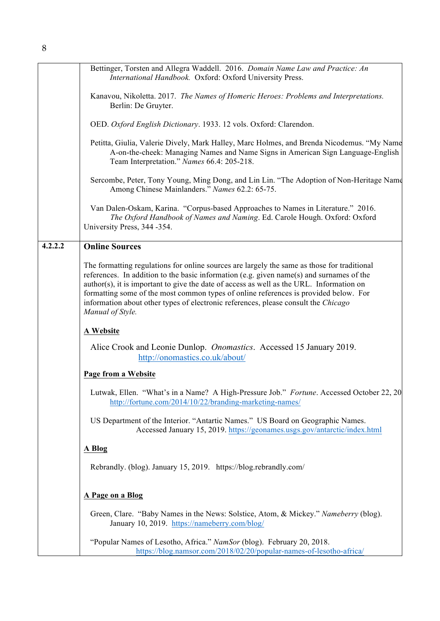|         | Bettinger, Torsten and Allegra Waddell. 2016. Domain Name Law and Practice: An<br>International Handbook. Oxford: Oxford University Press.                                                                                                                                                                                                                                                                                                                                            |
|---------|---------------------------------------------------------------------------------------------------------------------------------------------------------------------------------------------------------------------------------------------------------------------------------------------------------------------------------------------------------------------------------------------------------------------------------------------------------------------------------------|
|         | Kanavou, Nikoletta. 2017. The Names of Homeric Heroes: Problems and Interpretations.<br>Berlin: De Gruyter.                                                                                                                                                                                                                                                                                                                                                                           |
|         | OED. Oxford English Dictionary. 1933. 12 vols. Oxford: Clarendon.                                                                                                                                                                                                                                                                                                                                                                                                                     |
|         | Petitta, Giulia, Valerie Dively, Mark Halley, Marc Holmes, and Brenda Nicodemus. "My Name<br>A-on-the-cheek: Managing Names and Name Signs in American Sign Language-English<br>Team Interpretation." Names 66.4: 205-218.                                                                                                                                                                                                                                                            |
|         | Sercombe, Peter, Tony Young, Ming Dong, and Lin Lin. "The Adoption of Non-Heritage Name<br>Among Chinese Mainlanders." Names 62.2: 65-75.                                                                                                                                                                                                                                                                                                                                             |
|         | Van Dalen-Oskam, Karina. "Corpus-based Approaches to Names in Literature." 2016.<br>The Oxford Handbook of Names and Naming. Ed. Carole Hough. Oxford: Oxford<br>University Press, 344 -354.                                                                                                                                                                                                                                                                                          |
| 4.2.2.2 | <b>Online Sources</b>                                                                                                                                                                                                                                                                                                                                                                                                                                                                 |
|         | The formatting regulations for online sources are largely the same as those for traditional<br>references. In addition to the basic information (e.g. given name(s) and surnames of the<br>author(s), it is important to give the date of access as well as the URL. Information on<br>formatting some of the most common types of online references is provided below. For<br>information about other types of electronic references, please consult the Chicago<br>Manual of Style. |
|         | A Website                                                                                                                                                                                                                                                                                                                                                                                                                                                                             |
|         | Alice Crook and Leonie Dunlop. <i>Onomastics</i> . Accessed 15 January 2019.<br>http://onomastics.co.uk/about/                                                                                                                                                                                                                                                                                                                                                                        |
|         | <b>Page from a Website</b>                                                                                                                                                                                                                                                                                                                                                                                                                                                            |
|         | Lutwak, Ellen. "What's in a Name? A High-Pressure Job." Fortune. Accessed October 22, 20<br>http://fortune.com/2014/10/22/branding-marketing-names/                                                                                                                                                                                                                                                                                                                                   |
|         | US Department of the Interior. "Antartic Names." US Board on Geographic Names.<br>Accessed January 15, 2019. https://geonames.usgs.gov/antarctic/index.html                                                                                                                                                                                                                                                                                                                           |
|         | A Blog                                                                                                                                                                                                                                                                                                                                                                                                                                                                                |
|         | Rebrandly. (blog). January 15, 2019. https://blog.rebrandly.com/                                                                                                                                                                                                                                                                                                                                                                                                                      |
|         | A Page on a Blog                                                                                                                                                                                                                                                                                                                                                                                                                                                                      |
|         | Green, Clare. "Baby Names in the News: Solstice, Atom, & Mickey." Nameberry (blog).<br>January 10, 2019. https://nameberry.com/blog/                                                                                                                                                                                                                                                                                                                                                  |
|         | "Popular Names of Lesotho, Africa." NamSor (blog). February 20, 2018.<br>https://blog.namsor.com/2018/02/20/popular-names-of-lesotho-africa/                                                                                                                                                                                                                                                                                                                                          |